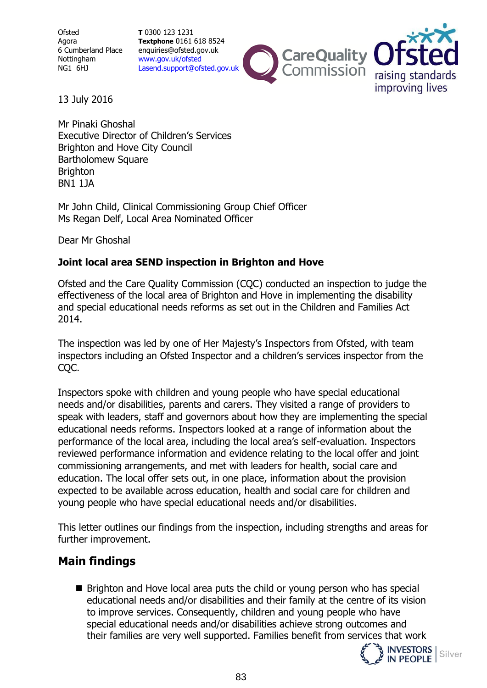**Ofsted** Agora 6 Cumberland Place Nottingham NG1 6HJ

**T** 0300 123 1231 **Textphone** 0161 618 8524 enquiries@ofsted.gov.uk [www.gov.uk/ofsted](http://www.gov.uk/ofsted) [Lasend.support@ofsted.gov.uk](mailto:Lasend.support@ofsted.gov.uk)



13 July 2016

Mr Pinaki Ghoshal Executive Director of Children's Services Brighton and Hove City Council Bartholomew Square **Brighton** BN1 1JA

Mr John Child, Clinical Commissioning Group Chief Officer Ms Regan Delf, Local Area Nominated Officer

Dear Mr Ghoshal

# **Joint local area SEND inspection in Brighton and Hove**

Ofsted and the Care Quality Commission (CQC) conducted an inspection to judge the effectiveness of the local area of Brighton and Hove in implementing the disability and special educational needs reforms as set out in the Children and Families Act 2014.

The inspection was led by one of Her Majesty's Inspectors from Ofsted, with team inspectors including an Ofsted Inspector and a children's services inspector from the CQC.

Inspectors spoke with children and young people who have special educational needs and/or disabilities, parents and carers. They visited a range of providers to speak with leaders, staff and governors about how they are implementing the special educational needs reforms. Inspectors looked at a range of information about the performance of the local area, including the local area's self-evaluation. Inspectors reviewed performance information and evidence relating to the local offer and joint commissioning arrangements, and met with leaders for health, social care and education. The local offer sets out, in one place, information about the provision expected to be available across education, health and social care for children and young people who have special educational needs and/or disabilities.

This letter outlines our findings from the inspection, including strengths and areas for further improvement.

# **Main findings**

**Brighton and Hove local area puts the child or young person who has special** educational needs and/or disabilities and their family at the centre of its vision to improve services. Consequently, children and young people who have special educational needs and/or disabilities achieve strong outcomes and their families are very well supported. Families benefit from services that work



Silver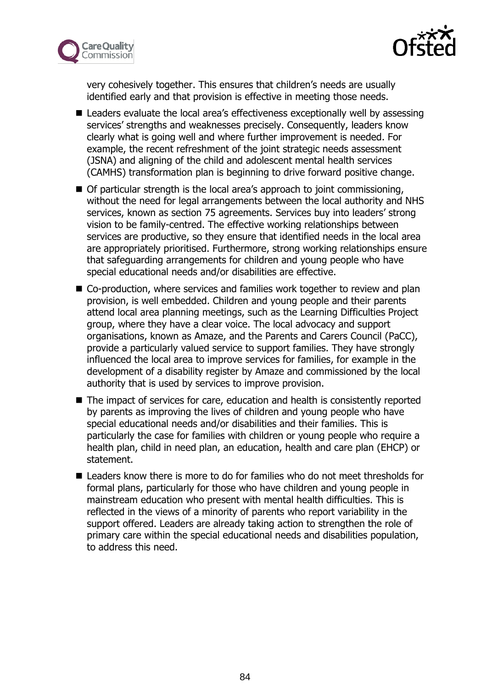



very cohesively together. This ensures that children's needs are usually identified early and that provision is effective in meeting those needs.

- Leaders evaluate the local area's effectiveness exceptionally well by assessing services' strengths and weaknesses precisely. Consequently, leaders know clearly what is going well and where further improvement is needed. For example, the recent refreshment of the joint strategic needs assessment (JSNA) and aligning of the child and adolescent mental health services (CAMHS) transformation plan is beginning to drive forward positive change.
- Of particular strength is the local area's approach to joint commissioning, without the need for legal arrangements between the local authority and NHS services, known as section 75 agreements. Services buy into leaders' strong vision to be family-centred. The effective working relationships between services are productive, so they ensure that identified needs in the local area are appropriately prioritised. Furthermore, strong working relationships ensure that safeguarding arrangements for children and young people who have special educational needs and/or disabilities are effective.
- Co-production, where services and families work together to review and plan provision, is well embedded. Children and young people and their parents attend local area planning meetings, such as the Learning Difficulties Project group, where they have a clear voice. The local advocacy and support organisations, known as Amaze, and the Parents and Carers Council (PaCC), provide a particularly valued service to support families. They have strongly influenced the local area to improve services for families, for example in the development of a disability register by Amaze and commissioned by the local authority that is used by services to improve provision.
- The impact of services for care, education and health is consistently reported by parents as improving the lives of children and young people who have special educational needs and/or disabilities and their families. This is particularly the case for families with children or young people who require a health plan, child in need plan, an education, health and care plan (EHCP) or statement.
- Leaders know there is more to do for families who do not meet thresholds for formal plans, particularly for those who have children and young people in mainstream education who present with mental health difficulties. This is reflected in the views of a minority of parents who report variability in the support offered. Leaders are already taking action to strengthen the role of primary care within the special educational needs and disabilities population, to address this need.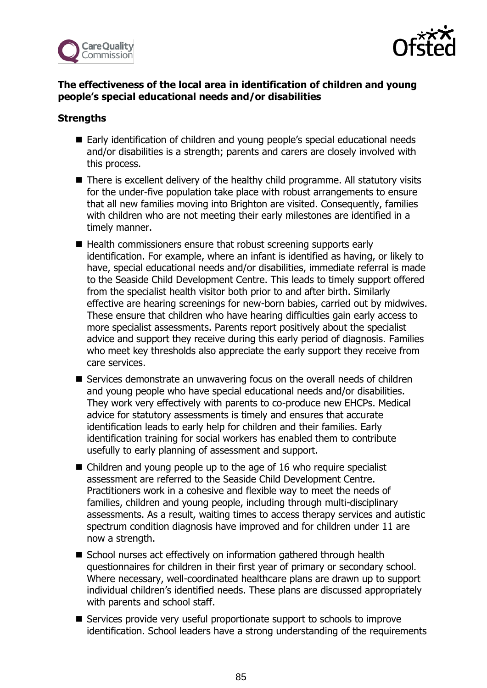



# **The effectiveness of the local area in identification of children and young people's special educational needs and/or disabilities**

## **Strengths**

- Early identification of children and young people's special educational needs and/or disabilities is a strength; parents and carers are closely involved with this process.
- There is excellent delivery of the healthy child programme. All statutory visits for the under-five population take place with robust arrangements to ensure that all new families moving into Brighton are visited. Consequently, families with children who are not meeting their early milestones are identified in a timely manner.
- Health commissioners ensure that robust screening supports early identification. For example, where an infant is identified as having, or likely to have, special educational needs and/or disabilities, immediate referral is made to the Seaside Child Development Centre. This leads to timely support offered from the specialist health visitor both prior to and after birth. Similarly effective are hearing screenings for new-born babies, carried out by midwives. These ensure that children who have hearing difficulties gain early access to more specialist assessments. Parents report positively about the specialist advice and support they receive during this early period of diagnosis. Families who meet key thresholds also appreciate the early support they receive from care services.
- Services demonstrate an unwavering focus on the overall needs of children and young people who have special educational needs and/or disabilities. They work very effectively with parents to co-produce new EHCPs. Medical advice for statutory assessments is timely and ensures that accurate identification leads to early help for children and their families. Early identification training for social workers has enabled them to contribute usefully to early planning of assessment and support.
- Children and young people up to the age of 16 who require specialist assessment are referred to the Seaside Child Development Centre. Practitioners work in a cohesive and flexible way to meet the needs of families, children and young people, including through multi-disciplinary assessments. As a result, waiting times to access therapy services and autistic spectrum condition diagnosis have improved and for children under 11 are now a strength.
- School nurses act effectively on information gathered through health questionnaires for children in their first year of primary or secondary school. Where necessary, well-coordinated healthcare plans are drawn up to support individual children's identified needs. These plans are discussed appropriately with parents and school staff.
- Services provide very useful proportionate support to schools to improve identification. School leaders have a strong understanding of the requirements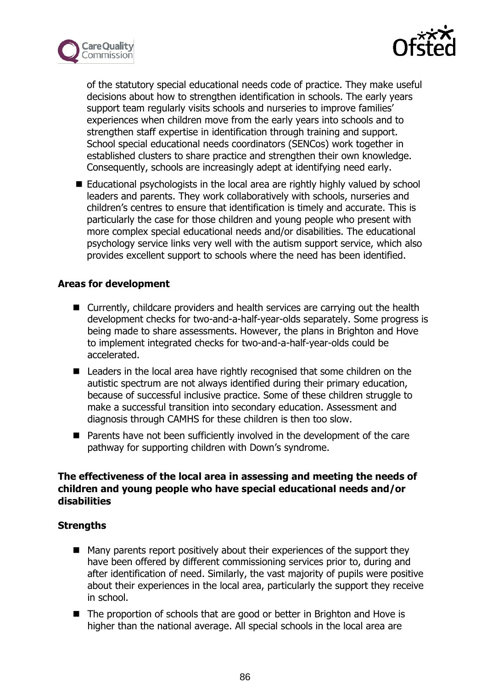



of the statutory special educational needs code of practice. They make useful decisions about how to strengthen identification in schools. The early years support team regularly visits schools and nurseries to improve families' experiences when children move from the early years into schools and to strengthen staff expertise in identification through training and support. School special educational needs coordinators (SENCos) work together in established clusters to share practice and strengthen their own knowledge. Consequently, schools are increasingly adept at identifying need early.

■ Educational psychologists in the local area are rightly highly valued by school leaders and parents. They work collaboratively with schools, nurseries and children's centres to ensure that identification is timely and accurate. This is particularly the case for those children and young people who present with more complex special educational needs and/or disabilities. The educational psychology service links very well with the autism support service, which also provides excellent support to schools where the need has been identified.

#### **Areas for development**

- Currently, childcare providers and health services are carrying out the health development checks for two-and-a-half-year-olds separately. Some progress is being made to share assessments. However, the plans in Brighton and Hove to implement integrated checks for two-and-a-half-year-olds could be accelerated.
- Leaders in the local area have rightly recognised that some children on the autistic spectrum are not always identified during their primary education, because of successful inclusive practice. Some of these children struggle to make a successful transition into secondary education. Assessment and diagnosis through CAMHS for these children is then too slow.
- **Parents have not been sufficiently involved in the development of the care** pathway for supporting children with Down's syndrome.

## **The effectiveness of the local area in assessing and meeting the needs of children and young people who have special educational needs and/or disabilities**

# **Strengths**

- Many parents report positively about their experiences of the support they have been offered by different commissioning services prior to, during and after identification of need. Similarly, the vast majority of pupils were positive about their experiences in the local area, particularly the support they receive in school.
- The proportion of schools that are good or better in Brighton and Hove is higher than the national average. All special schools in the local area are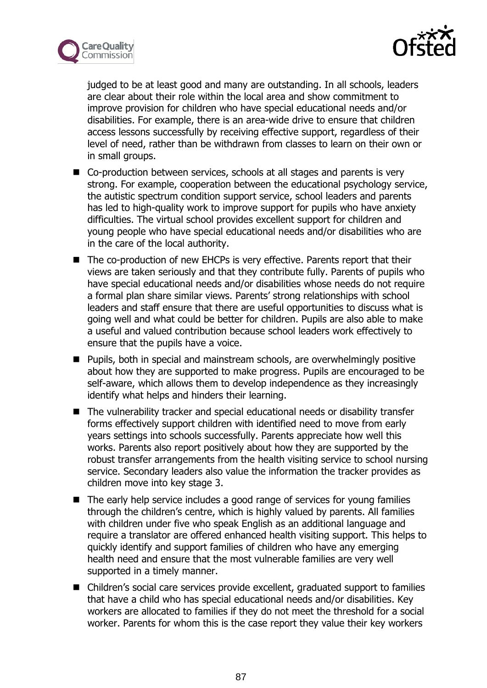



judged to be at least good and many are outstanding. In all schools, leaders are clear about their role within the local area and show commitment to improve provision for children who have special educational needs and/or disabilities. For example, there is an area-wide drive to ensure that children access lessons successfully by receiving effective support, regardless of their level of need, rather than be withdrawn from classes to learn on their own or in small groups.

- Co-production between services, schools at all stages and parents is very strong. For example, cooperation between the educational psychology service, the autistic spectrum condition support service, school leaders and parents has led to high-quality work to improve support for pupils who have anxiety difficulties. The virtual school provides excellent support for children and young people who have special educational needs and/or disabilities who are in the care of the local authority.
- The co-production of new EHCPs is very effective. Parents report that their views are taken seriously and that they contribute fully. Parents of pupils who have special educational needs and/or disabilities whose needs do not require a formal plan share similar views. Parents' strong relationships with school leaders and staff ensure that there are useful opportunities to discuss what is going well and what could be better for children. Pupils are also able to make a useful and valued contribution because school leaders work effectively to ensure that the pupils have a voice.
- Pupils, both in special and mainstream schools, are overwhelmingly positive about how they are supported to make progress. Pupils are encouraged to be self-aware, which allows them to develop independence as they increasingly identify what helps and hinders their learning.
- The vulnerability tracker and special educational needs or disability transfer forms effectively support children with identified need to move from early years settings into schools successfully. Parents appreciate how well this works. Parents also report positively about how they are supported by the robust transfer arrangements from the health visiting service to school nursing service. Secondary leaders also value the information the tracker provides as children move into key stage 3.
- The early help service includes a good range of services for young families through the children's centre, which is highly valued by parents. All families with children under five who speak English as an additional language and require a translator are offered enhanced health visiting support. This helps to quickly identify and support families of children who have any emerging health need and ensure that the most vulnerable families are very well supported in a timely manner.
- Children's social care services provide excellent, graduated support to families that have a child who has special educational needs and/or disabilities. Key workers are allocated to families if they do not meet the threshold for a social worker. Parents for whom this is the case report they value their key workers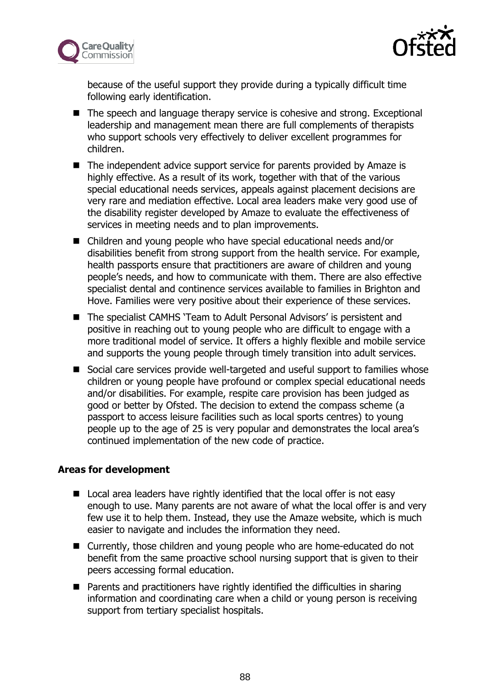



because of the useful support they provide during a typically difficult time following early identification.

- The speech and language therapy service is cohesive and strong. Exceptional leadership and management mean there are full complements of therapists who support schools very effectively to deliver excellent programmes for children.
- The independent advice support service for parents provided by Amaze is highly effective. As a result of its work, together with that of the various special educational needs services, appeals against placement decisions are very rare and mediation effective. Local area leaders make very good use of the disability register developed by Amaze to evaluate the effectiveness of services in meeting needs and to plan improvements.
- Children and young people who have special educational needs and/or disabilities benefit from strong support from the health service. For example, health passports ensure that practitioners are aware of children and young people's needs, and how to communicate with them. There are also effective specialist dental and continence services available to families in Brighton and Hove. Families were very positive about their experience of these services.
- The specialist CAMHS 'Team to Adult Personal Advisors' is persistent and positive in reaching out to young people who are difficult to engage with a more traditional model of service. It offers a highly flexible and mobile service and supports the young people through timely transition into adult services.
- Social care services provide well-targeted and useful support to families whose children or young people have profound or complex special educational needs and/or disabilities. For example, respite care provision has been judged as good or better by Ofsted. The decision to extend the compass scheme (a passport to access leisure facilities such as local sports centres) to young people up to the age of 25 is very popular and demonstrates the local area's continued implementation of the new code of practice.

# **Areas for development**

- Local area leaders have rightly identified that the local offer is not easy enough to use. Many parents are not aware of what the local offer is and very few use it to help them. Instead, they use the Amaze website, which is much easier to navigate and includes the information they need.
- Currently, those children and young people who are home-educated do not benefit from the same proactive school nursing support that is given to their peers accessing formal education.
- Parents and practitioners have rightly identified the difficulties in sharing information and coordinating care when a child or young person is receiving support from tertiary specialist hospitals.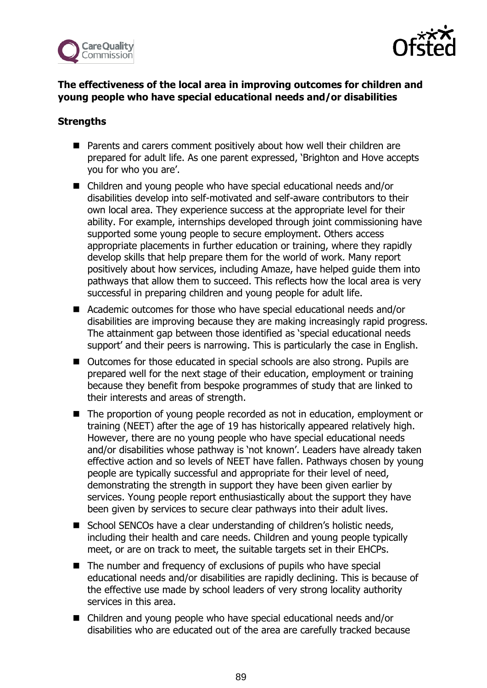



# **The effectiveness of the local area in improving outcomes for children and young people who have special educational needs and/or disabilities**

# **Strengths**

- Parents and carers comment positively about how well their children are prepared for adult life. As one parent expressed, 'Brighton and Hove accepts you for who you are'.
- Children and young people who have special educational needs and/or disabilities develop into self-motivated and self-aware contributors to their own local area. They experience success at the appropriate level for their ability. For example, internships developed through joint commissioning have supported some young people to secure employment. Others access appropriate placements in further education or training, where they rapidly develop skills that help prepare them for the world of work. Many report positively about how services, including Amaze, have helped guide them into pathways that allow them to succeed. This reflects how the local area is very successful in preparing children and young people for adult life.
- Academic outcomes for those who have special educational needs and/or disabilities are improving because they are making increasingly rapid progress. The attainment gap between those identified as 'special educational needs support' and their peers is narrowing. This is particularly the case in English.
- Outcomes for those educated in special schools are also strong. Pupils are prepared well for the next stage of their education, employment or training because they benefit from bespoke programmes of study that are linked to their interests and areas of strength.
- The proportion of young people recorded as not in education, employment or training (NEET) after the age of 19 has historically appeared relatively high. However, there are no young people who have special educational needs and/or disabilities whose pathway is 'not known'. Leaders have already taken effective action and so levels of NEET have fallen. Pathways chosen by young people are typically successful and appropriate for their level of need, demonstrating the strength in support they have been given earlier by services. Young people report enthusiastically about the support they have been given by services to secure clear pathways into their adult lives.
- School SENCOs have a clear understanding of children's holistic needs, including their health and care needs. Children and young people typically meet, or are on track to meet, the suitable targets set in their EHCPs.
- The number and frequency of exclusions of pupils who have special educational needs and/or disabilities are rapidly declining. This is because of the effective use made by school leaders of very strong locality authority services in this area.
- Children and young people who have special educational needs and/or disabilities who are educated out of the area are carefully tracked because